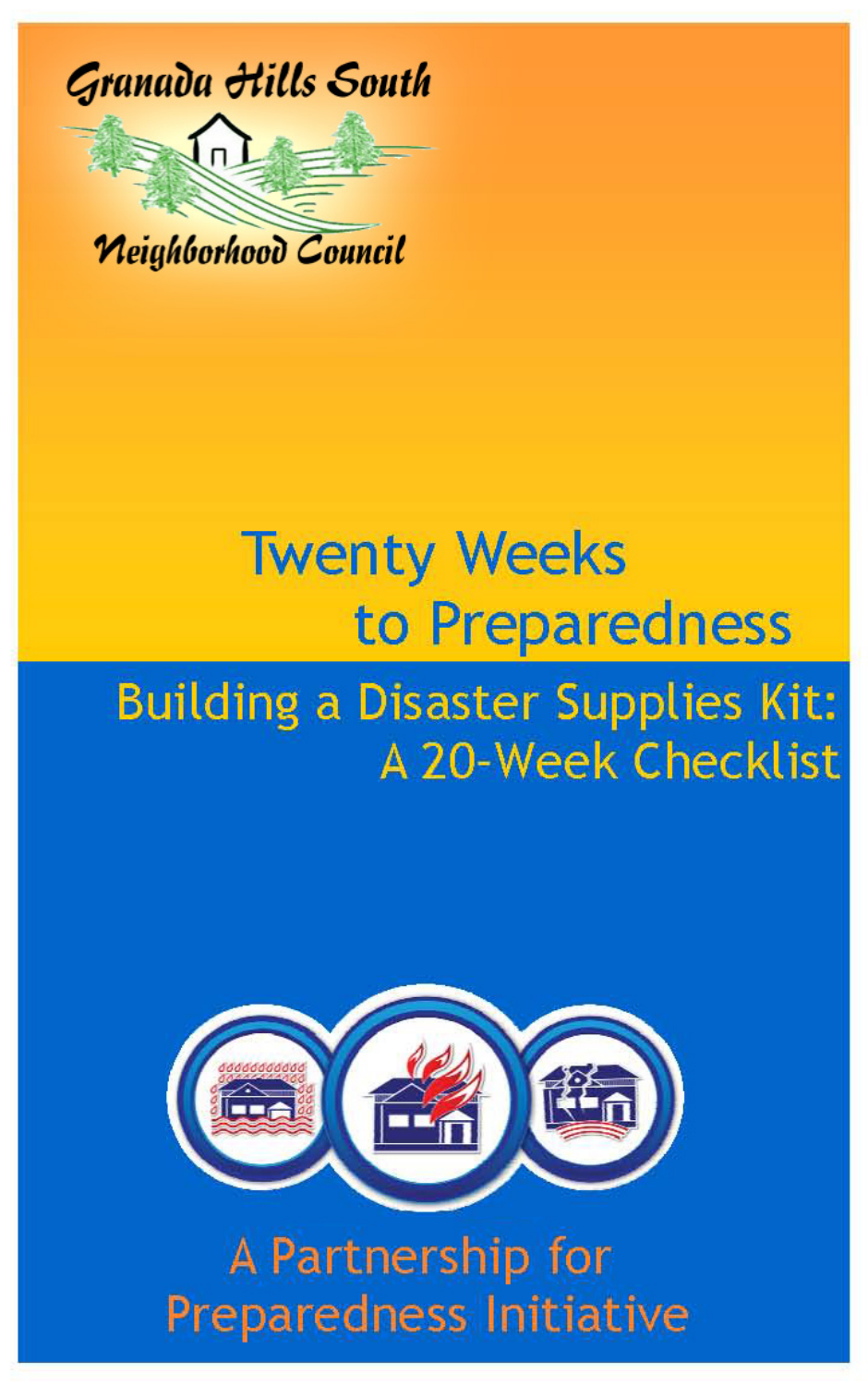

### **Twenty Weeks** to Preparedness **Building a Disaster Supplies Kit:** A 20-Week Checklist



A Partnership for **Preparedness Initiative**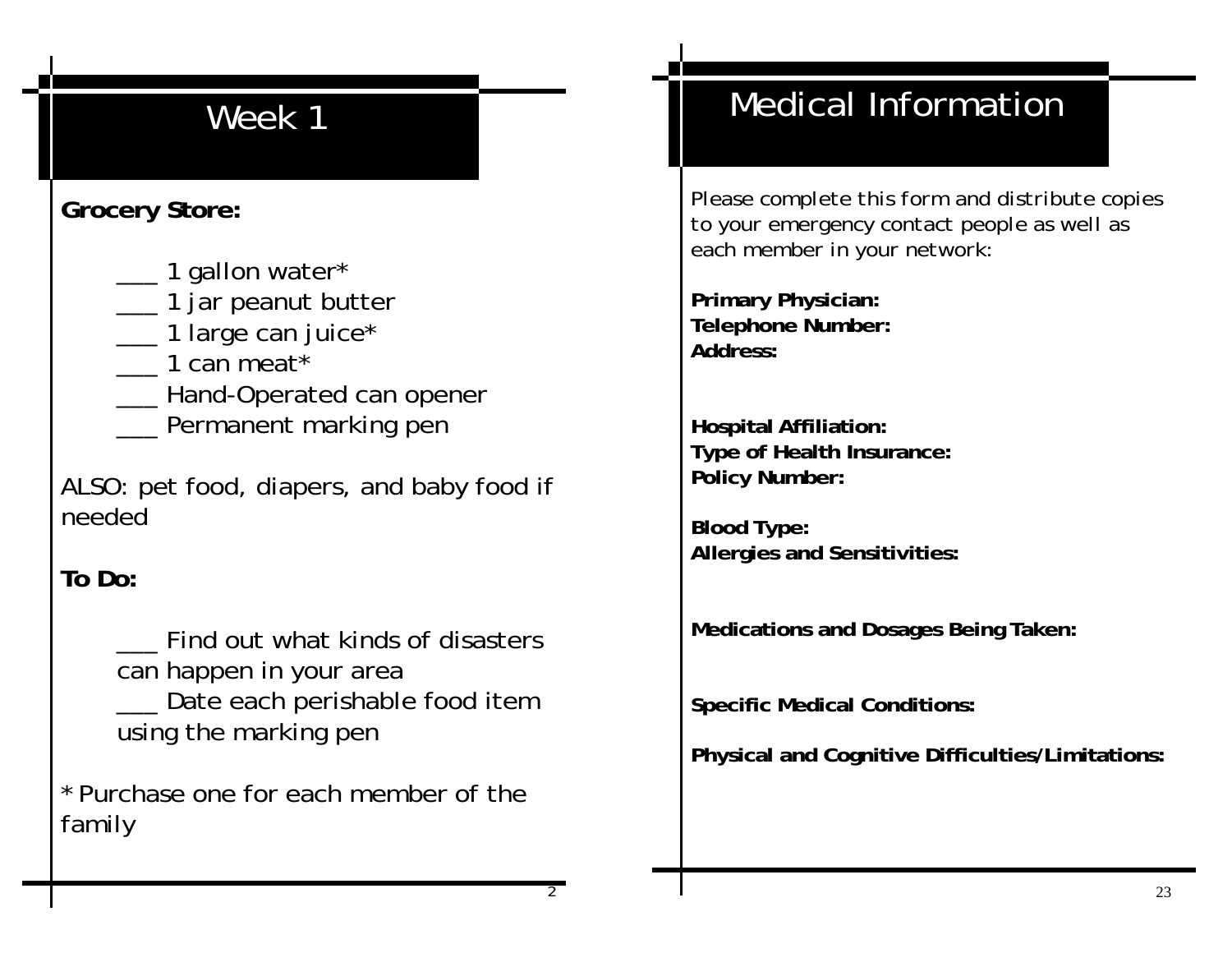### **Grocery Store:**

- \_\_\_ 1 gallon water\*
- \_\_\_ 1 jar peanut butter
- \_\_ 1 large can juice\*
- \_\_\_ 1 can meat\*
- \_\_\_ Hand-Operated can opener
- **\_\_\_** Permanent marking pen

ALSO: pet food, diapers, and baby food if needed

### **To Do:**

 \_\_\_ Find out what kinds of disasters can happen in your area Date each perishable food item using the marking pen

\* Purchase one for each member of the family

# Medical Information

*Please complete this form and distribute copies to your emergency contact people as well as each member in your network:*

**Primary Physician: Telephone Number: Address:** 

**Hospital Affiliation: Type of Health Insurance: Policy Number:** 

**Blood Type: Allergies and Sensitivities:** 

**Medications and Dosages Being Taken:** 

**Specific Medical Conditions:** 

**Physical and Cognitive Difficulties/Limitations:**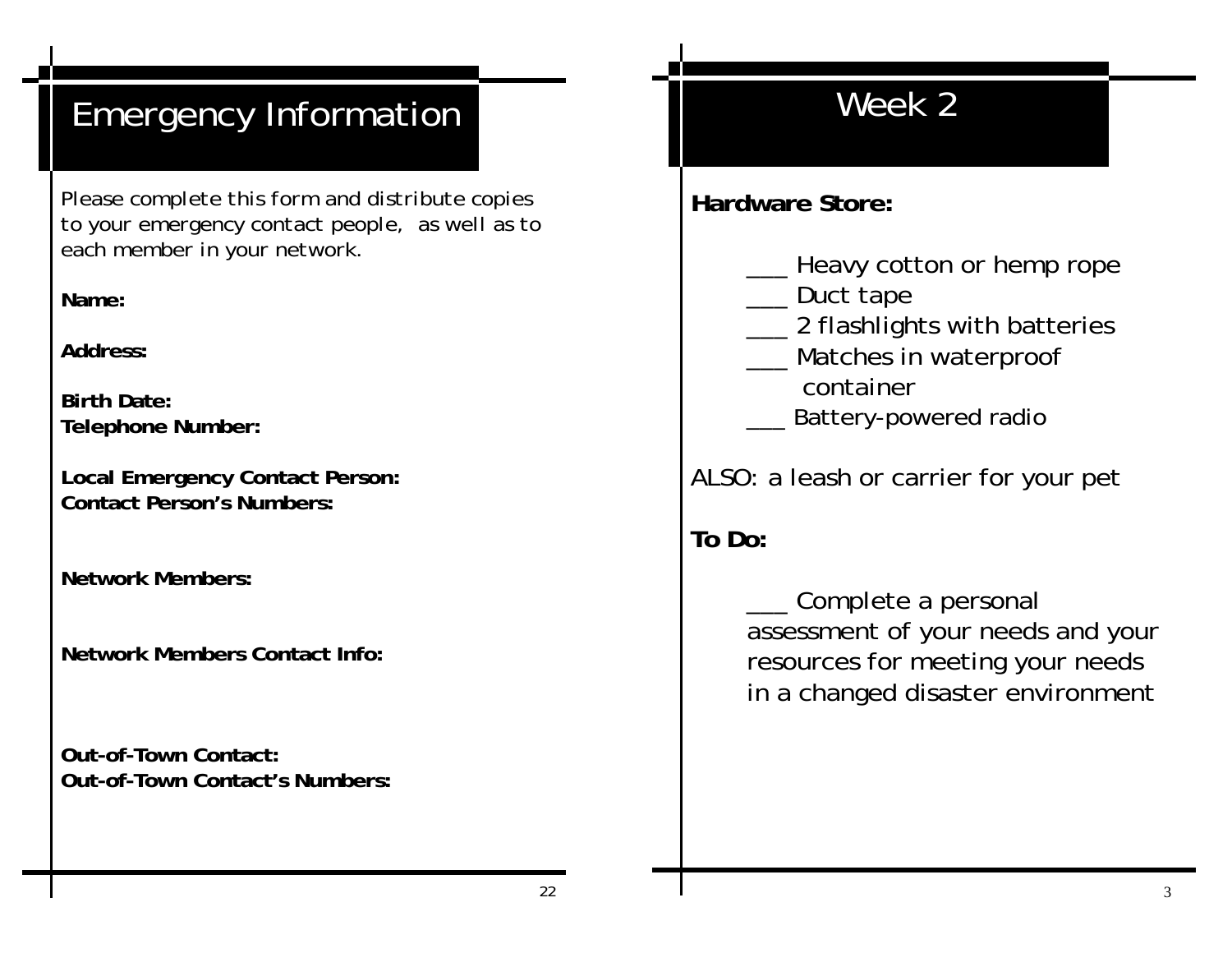# Emergency Information

*Please complete this form and distribute copies to your emergency contact people, as well as to each member in your network.* 

**Name:** 

**Address:** 

**Birth Date: Telephone Number:** 

**Local Emergency Contact Person: Contact Person's Numbers:** 

**Network Members:** 

**Network Members Contact Info:** 

**Out-of-Town Contact: Out-of-Town Contact's Numbers:** 

## Week 2

**Hardware Store:**

- \_\_\_ Heavy cotton or hemp rope
- \_\_\_ Duct tape
- **\_\_\_ 2 flashlights with batteries**
- Matches in waterproof container
- Battery-powered radio

ALSO: a leash or carrier for your pet

**To Do:** 

Complete a personal assessment of your needs and your resources for meeting your needs in a changed disaster environment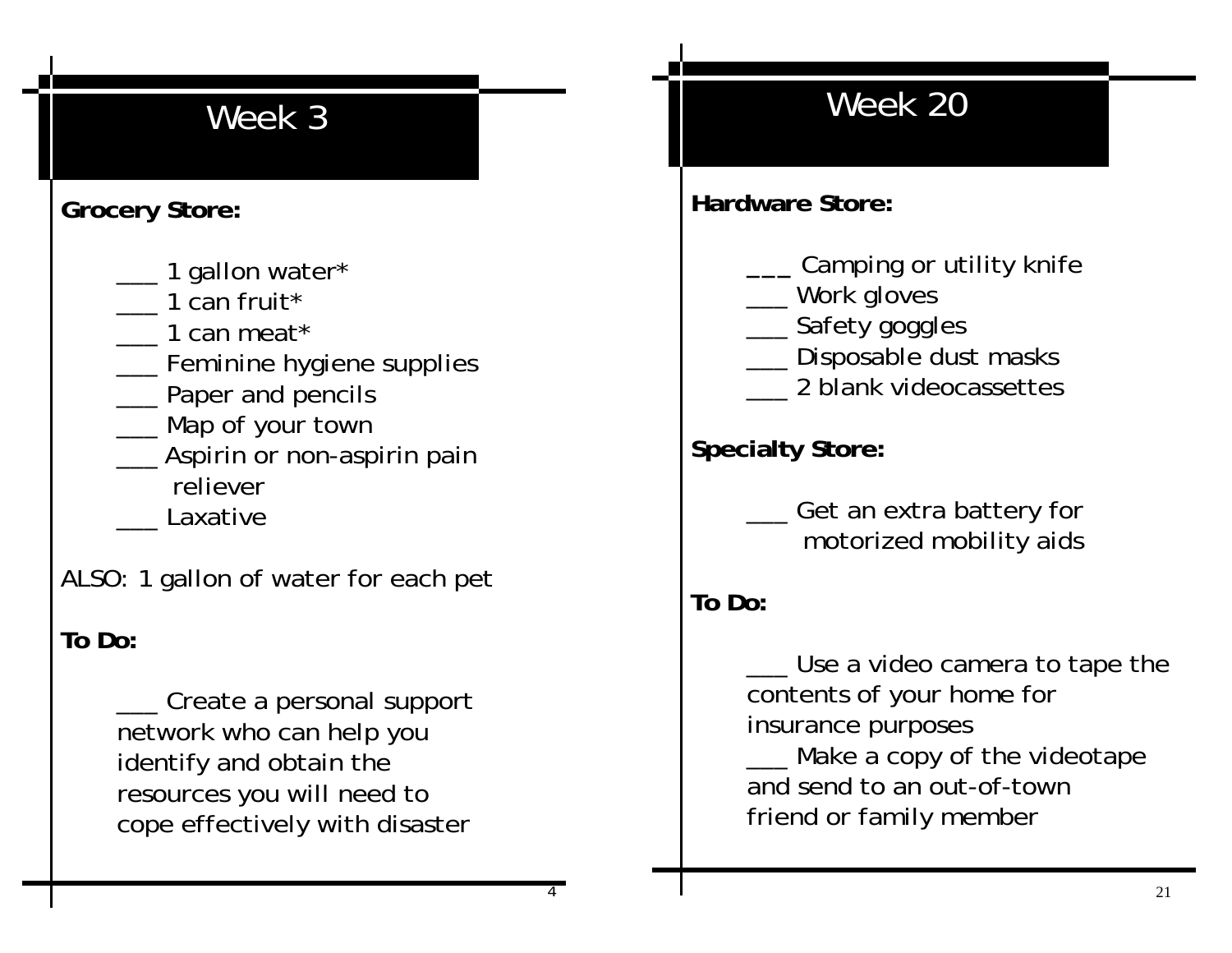### **Grocery Store:**

- \_\_\_ 1 gallon water\*
- \_\_\_ 1 can fruit\*
- \_\_\_ 1 can meat\*
- **\_\_\_** Feminine hygiene supplies
- **\_\_\_** Paper and pencils
- \_\_\_ Map of your town
- \_\_\_ Aspirin or non-aspirin pain reliever
	-
- \_\_\_ Laxative

ALSO: 1 gallon of water for each pet

### **To Do:**

 \_\_\_ Create a personal support network who can help you identify and obtain the resources you will need to cope effectively with disaster

## Week 20

**Hardware Store:** 

- **\_\_\_** Camping or utility knife
- \_\_\_ Work gloves
- \_\_\_ Safety goggles
- \_\_ Disposable dust masks
- \_\_\_ 2 blank videocassettes

**Specialty Store:**

 \_\_\_ Get an extra battery for motorized mobility aids

**To Do:** 

\_\_\_ Use a video camera to tape the contents of your home for insurance purposes Make a copy of the videotape and send to an out-of-town friend or family member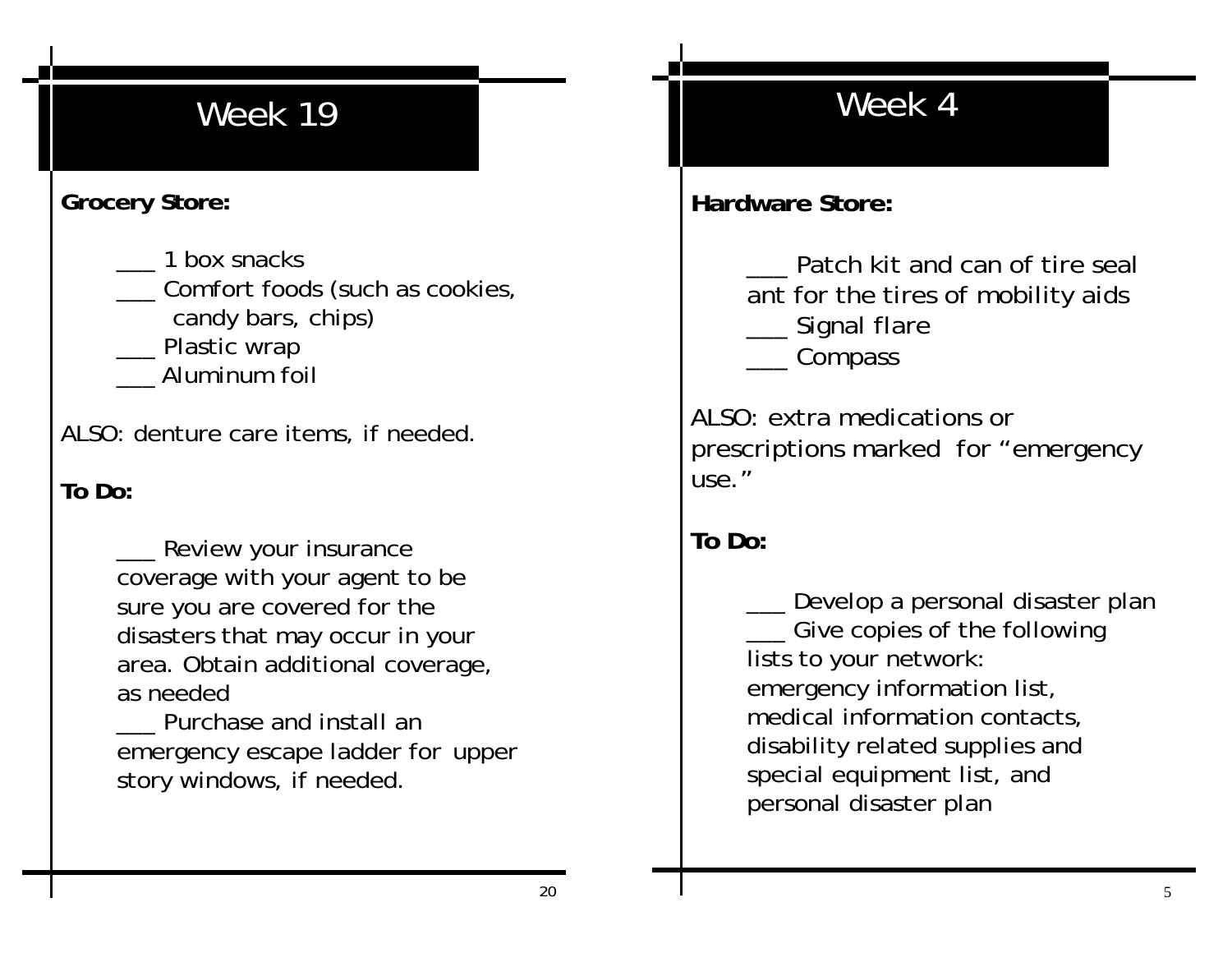#### **Grocery Store:**

- \_\_\_ 1 box snacks
- \_\_\_ Comfort foods (such as cookies,
	- candy bars, chips)
- Plastic wrap
- \_\_\_ Aluminum foil

ALSO: denture care items, if needed.

**To Do:**

 \_\_\_ Review your insurance coverage with your agent to be sure you are covered for the disasters that may occur in your area. Obtain additional coverage, as needed

 \_\_\_ Purchase and install an emergency escape ladder for upper story windows, if needed.

## Week 4

**Hardware Store:**

Patch kit and can of tire seal ant for the tires of mobility aids \_\_\_ Signal flare \_\_\_ Compass

ALSO: extra medications or prescriptions marked for "emergency use."

**To Do:** 

\_\_\_ Develop a personal disaster plan Give copies of the following lists to your network: emergency information list, medical information contacts, disability related supplies and special equipment list, and personal disaster plan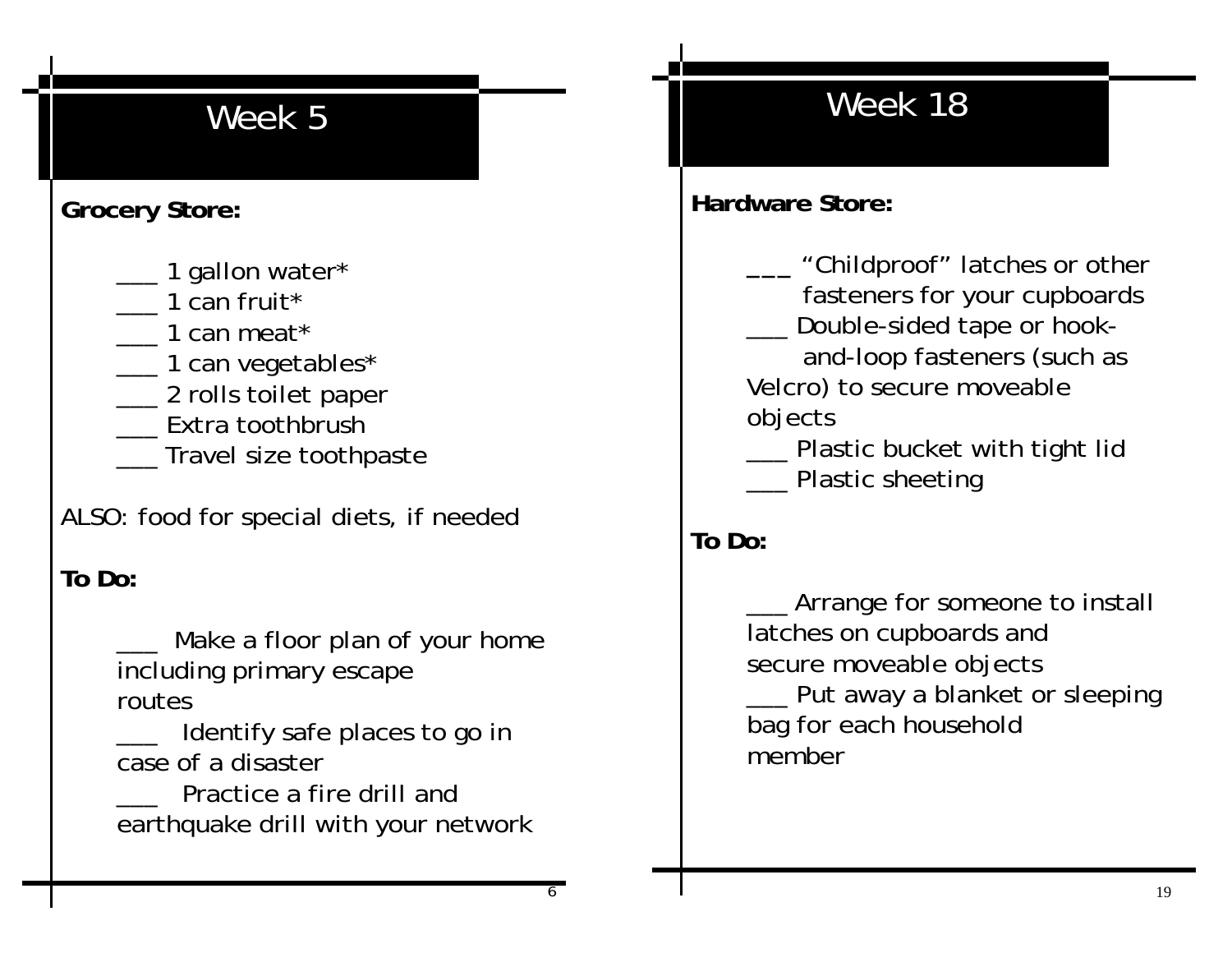### **Grocery Store:**

- \_\_\_ 1 gallon water\*
- \_\_\_ 1 can fruit\*
- \_\_\_ 1 can meat\*
- \_\_\_ 1 can vegetables\*
- \_\_ 2 rolls toilet paper
- \_\_\_ Extra toothbrush
- \_\_\_ Travel size toothpaste

ALSO: food for special diets, if needed

### **To Do:**

Make a floor plan of your home including primary escape routes

\_\_\_ Identify safe places to go in case of a disaster

Practice a fire drill and earthquake drill with your network

## Week 18

### **Hardware Store:**

 **\_\_\_** "Childproof" latches or other fasteners for your cupboards \_\_\_ Double-sided tape or hook-

 and-loop fasteners (such as Velcro) to secure moveable objects

 \_\_\_ Plastic bucket with tight lid Plastic sheeting

### **To Do:**

\_\_\_ Arrange for someone to install latches on cupboards and secure moveable objects \_\_\_ Put away a blanket or sleeping bag for each household member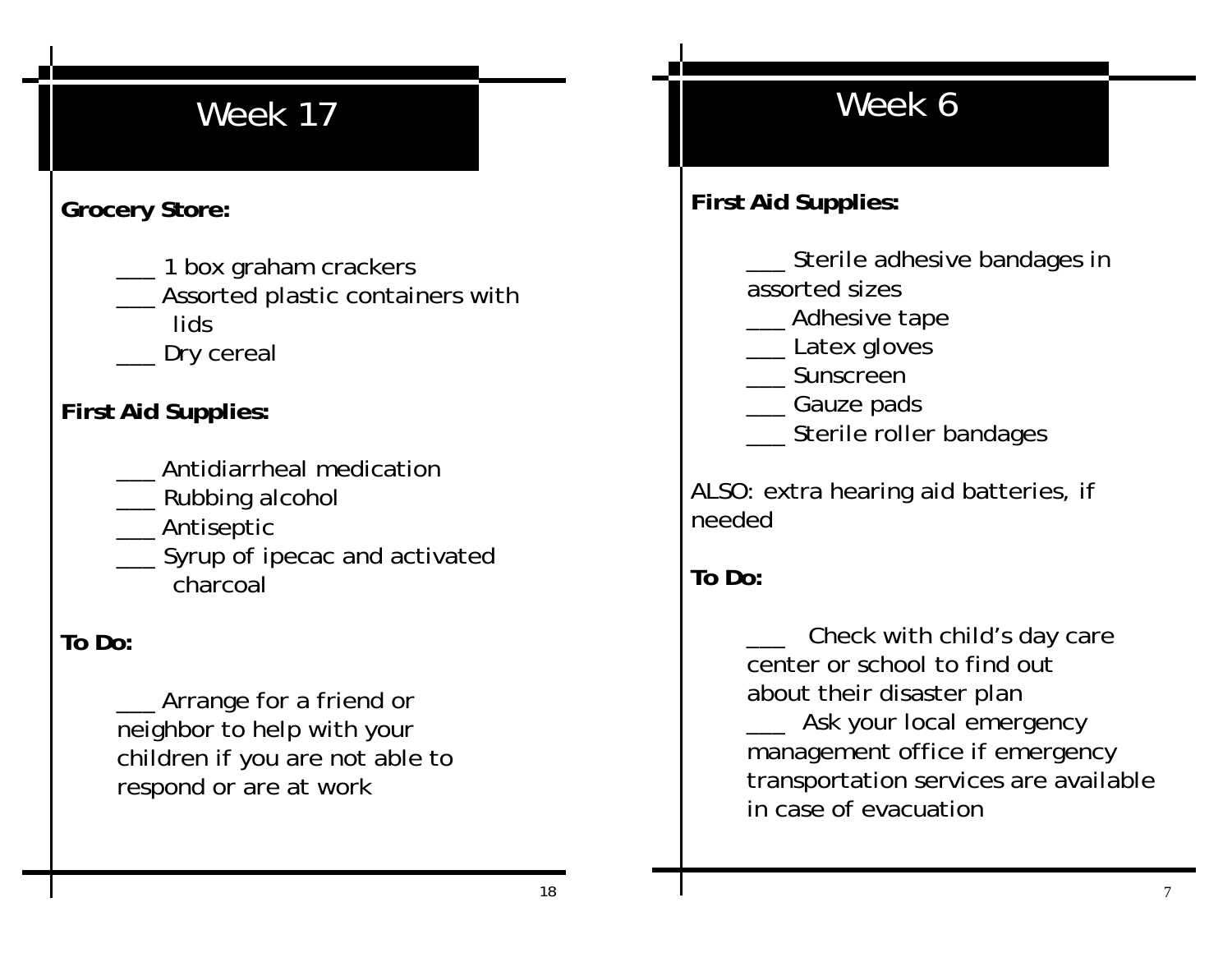### **Grocery Store:**

- \_\_ 1 box graham crackers
- Assorted plastic containers with lids
	- Dry cereal

### **First Aid Supplies:**

- \_\_\_ Antidiarrheal medication
- Rubbing alcohol
- \_\_\_ Antiseptic
- **\_\_\_** Syrup of ipecac and activated charcoal

#### **To Do:**

 \_\_\_ Arrange for a friend or neighbor to help with your children if you are not able to respond or are at work

# Week 6

#### **First Aid Supplies:**

Sterile adhesive bandages in assorted sizes

- Adhesive tape
- \_\_\_ Latex gloves
- \_\_\_ Sunscreen
- \_\_\_ Gauze pads
- Sterile roller bandages

ALSO: extra hearing aid batteries, if needed

### **To Do:**

Check with child's day care center or school to find out about their disaster plan Ask your local emergency management office if emergency transportation services are available in case of evacuation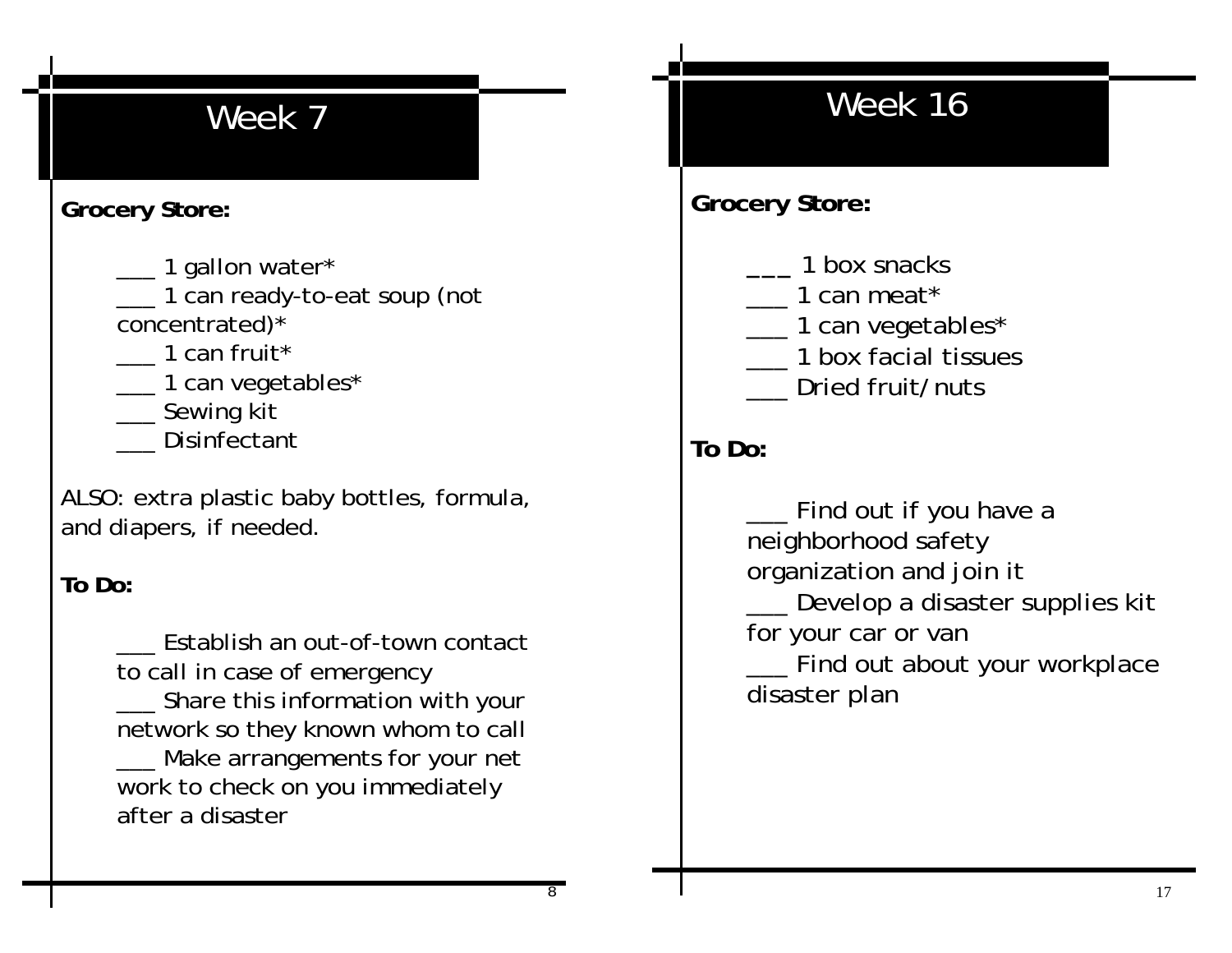#### **Grocery Store:**

- \_\_\_ 1 gallon water\*
- \_\_\_ 1 can ready-to-eat soup (not concentrated)\*
- \_\_\_ 1 can fruit\*
- \_\_ 1 can vegetables\*
- \_\_\_ Sewing kit
- \_\_\_ Disinfectant

ALSO: extra plastic baby bottles, formula, and diapers, if needed.

#### **To Do:**

Establish an out-of-town contact to call in case of emergency \_\_\_ Share this information with your network so they known whom to call \_\_\_ Make arrangements for your net work to check on you immediately after a disaster

# Week 16

### **Grocery Store:**

- **\_\_\_** 1 box snacks
- \_\_\_ 1 can meat\*
- \_\_ 1 can vegetables\*
- \_\_\_ 1 box facial tissues
- Dried fruit/nuts

#### **To Do:**

\_\_\_ Find out if you have a neighborhood safety organization and join it Develop a disaster supplies kit for your car or van

Find out about your workplace disaster plan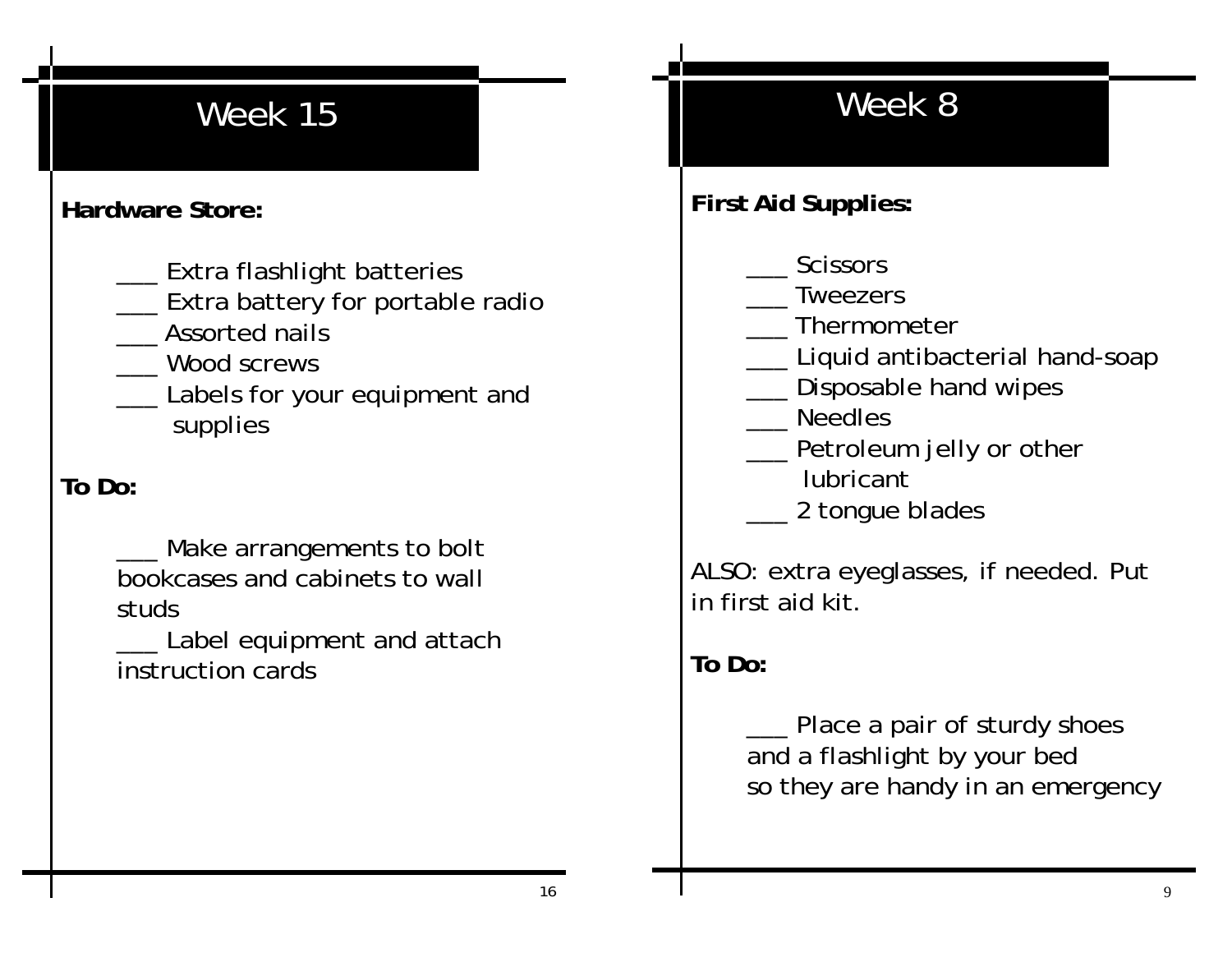### **Hardware Store:**

- \_\_\_ Extra flashlight batteries
- **\_\_\_** Extra battery for portable radio
- \_\_\_ Assorted nails
- \_\_\_ Wood screws
- Labels for your equipment and supplies

### **To Do:**

Make arrangements to bolt bookcases and cabinets to wall studs

Label equipment and attach instruction cards

# Week 8

**First Aid Supplies:**

- \_\_\_ Scissors
- **Tweezers**
- \_\_\_ Thermometer
- \_\_\_ Liquid antibacterial hand-soap
- \_\_ Disposable hand wipes
- \_\_\_ Needles
	- \_\_\_ Petroleum jelly or other
		- lubricant
	- \_\_\_ 2 tongue blades

ALSO: extra eyeglasses, if needed. Put in first aid kit.

**To Do:** 

\_\_\_ Place a pair of sturdy shoes and a flashlight by your bed so they are handy in an emergency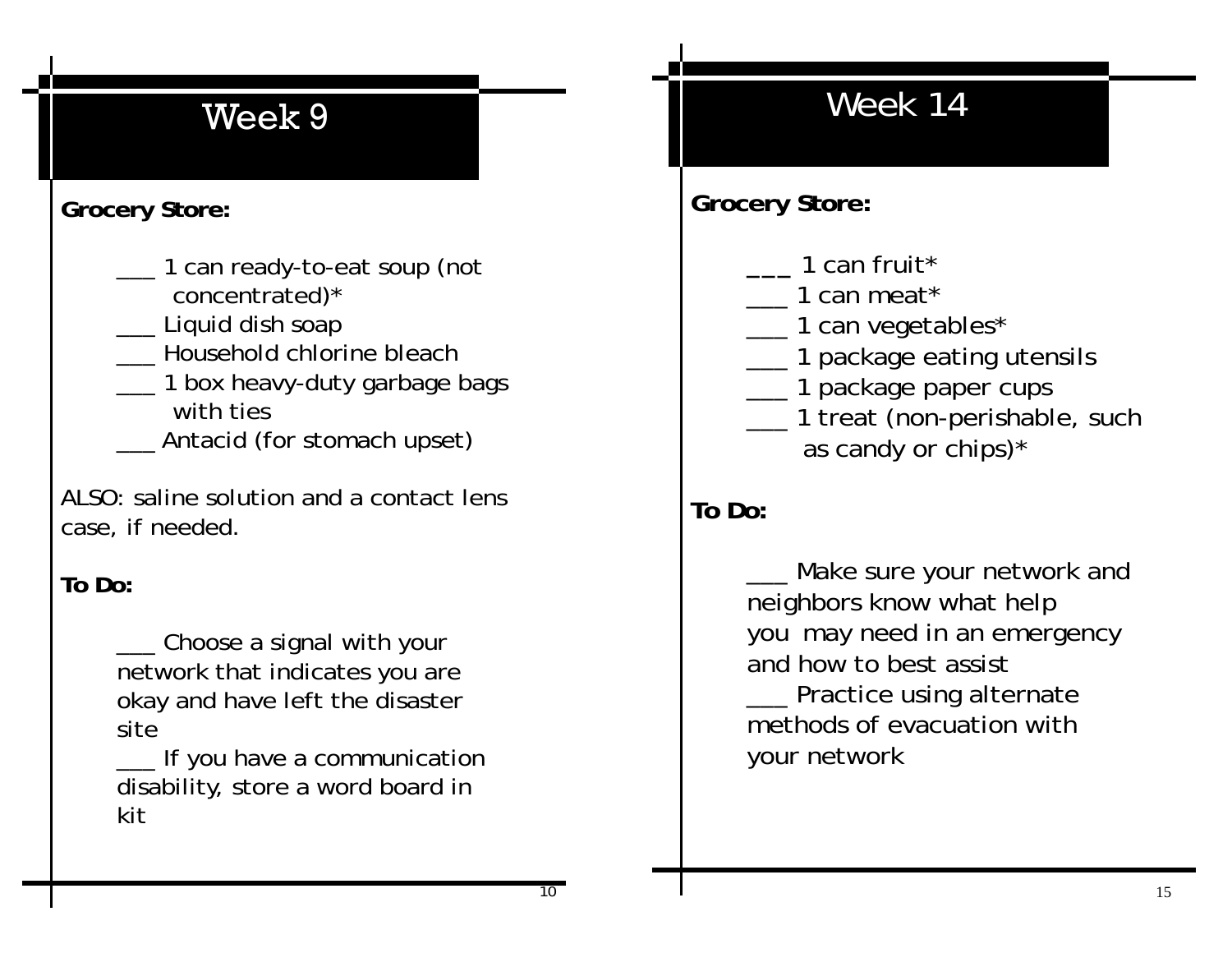#### **Grocery Store:**

- \_\_\_ 1 can ready-to-eat soup (not concentrated)\*
- \_\_\_ Liquid dish soap
- \_\_\_ Household chlorine bleach
- \_\_\_ 1 box heavy-duty garbage bags
	- with ties
- \_\_\_ Antacid (for stomach upset)

ALSO: saline solution and a contact lens case, if needed.

#### **To Do:**

\_\_ Choose a signal with your network that indicates you are okay and have left the disaster site

 \_\_\_ If you have a communication disability, store a word board in kit

## Week 14

**Grocery Store:** 

- **\_\_\_** 1 can fruit\*
- \_\_\_ 1 can meat\*
- \_\_\_ 1 can vegetables\*
- \_\_ 1 package eating utensils
- \_\_\_ 1 package paper cups
- \_\_\_ 1 treat (non-perishable, such as candy or chips)\*

### **To Do:**

Make sure your network and neighbors know what help you may need in an emergency and how to best assist \_\_\_ Practice using alternate methods of evacuation with your network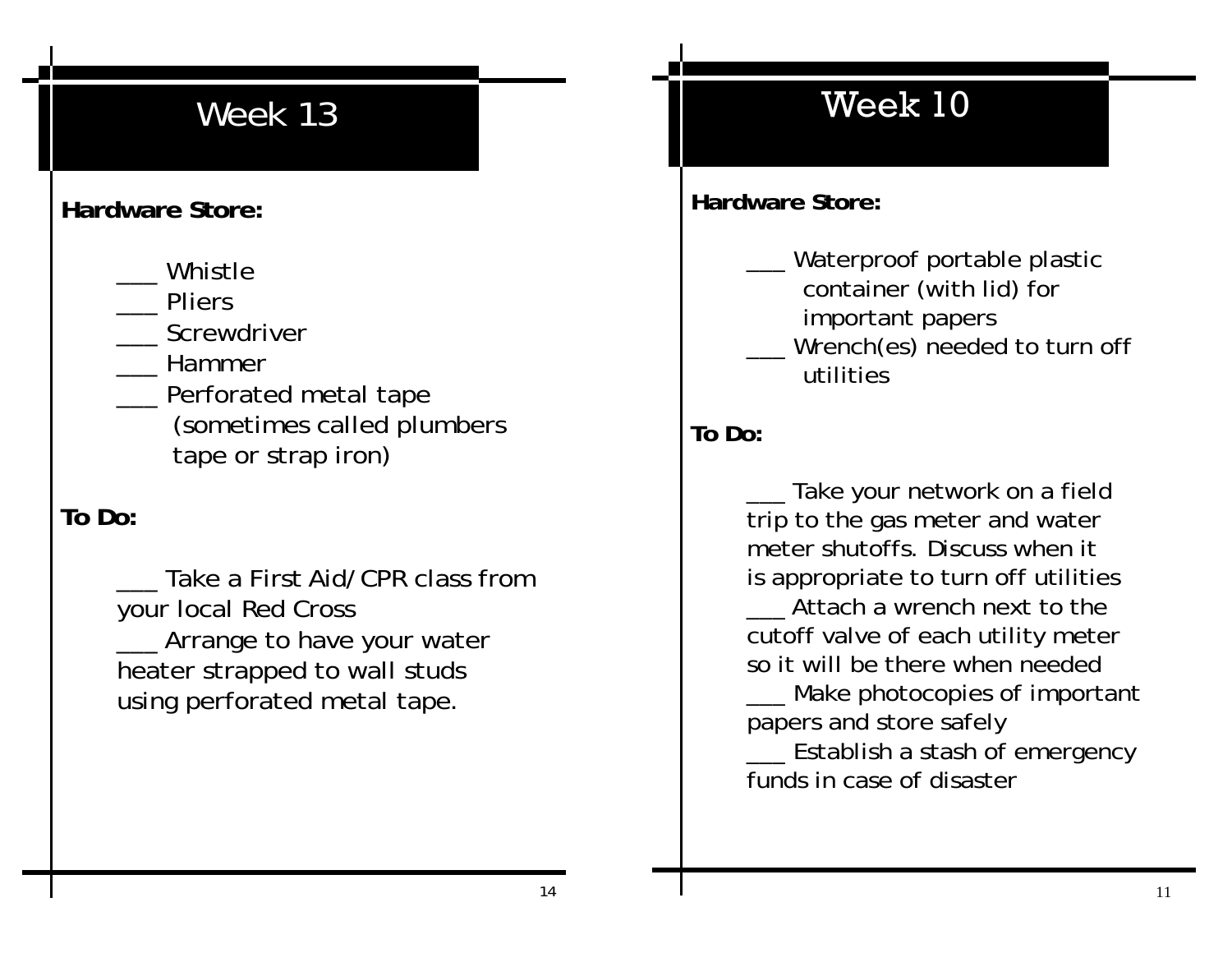#### **Hardware Store:**

\_\_\_ Whistle

\_\_\_ Pliers

Screwdriver

- \_\_\_ Hammer
- \_\_\_ Perforated metal tape (sometimes called plumbers tape or strap iron)

#### **To Do:**

Take a First Aid/CPR class from your local Red Cross Arrange to have your water heater strapped to wall studs using perforated metal tape.

### Week 10

**Hardware Store:**

Waterproof portable plastic container (with lid) for important papers

Wrench(es) needed to turn off utilities

#### **To Do:**

Take your network on a field trip to the gas meter and water meter shutoffs. Discuss when it is appropriate to turn off utilities Attach a wrench next to the cutoff valve of each utility meter so it will be there when needed

Make photocopies of important papers and store safely

Establish a stash of emergency funds in case of disaster